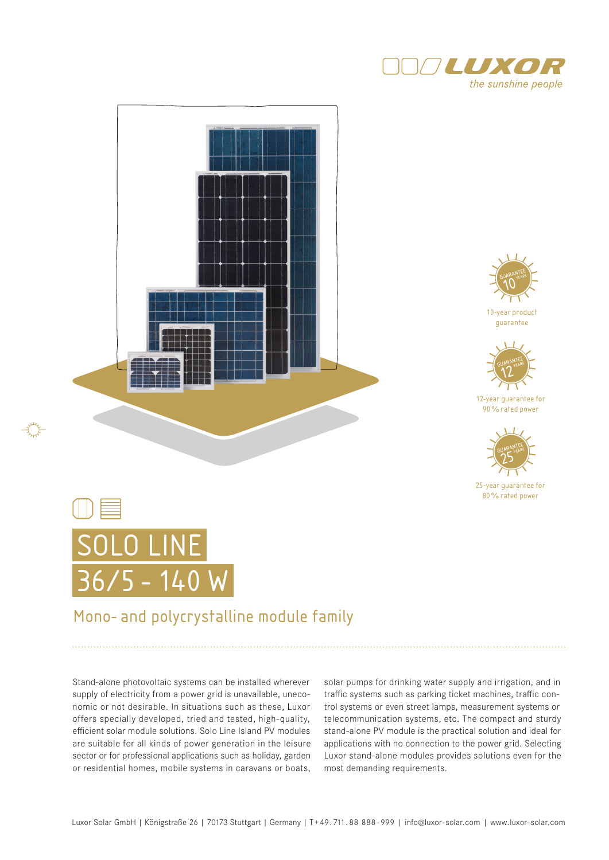





10-year product guarantee



12-year guarantee for 90% rated power



25-year guarantee for 80% rated power



## Mono- and polycrystalline module family

Stand-alone photovoltaic systems can be installed wherever supply of electricity from a power grid is unavailable, uneconomic or not desirable. In situations such as these, Luxor offers specially developed, tried and tested, high-quality, efficient solar module solutions. Solo Line Island PV modules are suitable for all kinds of power generation in the leisure sector or for professional applications such as holiday, garden or residential homes, mobile systems in caravans or boats,

solar pumps for drinking water supply and irrigation, and in traffic systems such as parking ticket machines, traffic control systems or even street lamps, measurement systems or telecommunication systems, etc. The compact and sturdy stand-alone PV module is the practical solution and ideal for applications with no connection to the power grid. Selecting Luxor stand-alone modules provides solutions even for the most demanding requirements.